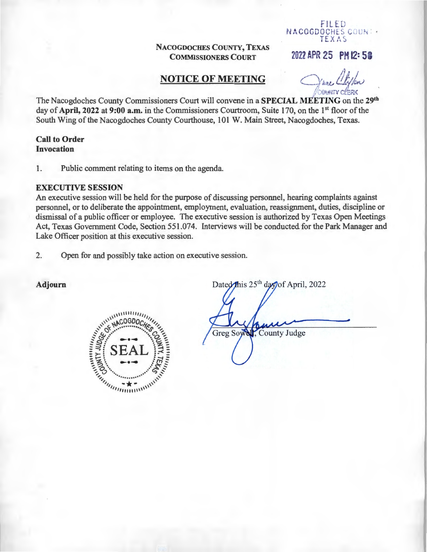## NACOGDOCHES COUNTY, TEXAS **COMMISSIONERS COURT**

## **NOTICE OF MEETING**

**COMMITY CLERK** 

FILED NACOGDOCHES COUNT . TEXAS

2022 APR 25 PM 12:58

The Nacogdoches County Commissioners Court will convene in a SPECIAL MEETING on the 29th day of April, 2022 at 9:00 a.m. in the Commissioners Courtroom, Suite 170, on the 1<sup>st</sup> floor of the South Wing of the Nacogdoches County Courthouse, 101 W. Main Street, Nacogdoches, Texas.

## **Call to Order Invocation**

Public comment relating to items on the agenda. 1.

#### **EXECUTIVE SESSION**

An executive session will be held for the purpose of discussing personnel, hearing complaints against personnel, or to deliberate the appointment, employment, evaluation, reassignment, duties, discipline or dismissal of a public officer or employee. The executive session is authorized by Texas Open Meetings Act, Texas Government Code, Section 551.074. Interviews will be conducted for the Park Manager and Lake Officer position at this executive session.

Open for and possibly take action on executive session.  $\overline{2}$ .

Adjourn



Dated this 25<sup>th</sup> day of April, 2022

Greg Sow County Judge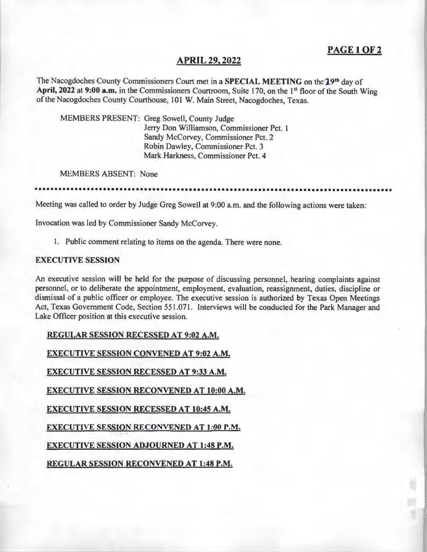# PAGE 1 OF 2

### APRIL 29, 2022

The Nacogdoches County Commissioners Court met in a SPECIAL MEETING on the 19th day of April, 2022 at 9:00 a.m. in the Commissioners Courtroom, Suite 170, on the 1<sup>st</sup> floor of the South Wing of the Nacogdoches County Courthouse, 101 W. Main Street, Nacogdoches, Texas.

MEMBERS PRESENT: Greg Sowell, County Judge Jerry Don Williamson, Commissioner Pet. I Sandy McCorvey, Commissioner Pet. 2 Robin Dawley, Commissioner Pet. 3 Mark Harkness, Commissioner Pet. 4

MEMBERS ABSENT: None

••••••••••••••••••••••••••••••••••••••••••••••••••••••••••••••••••••••••••••••••••••••••

Meeting was called to order by Judge Greg Sowell at 9:00 a.m. and the following actions were taken:

Invocation was led by Commissioner Sandy McCorvey.

I. Public comment relating to items on the agenda. There were none.

#### EXECUTIVE SESSION

An executive session will be held for the purpose of discussing personnel, hearing complaints against personnel, or to deliberate the appointment, employment, evaluation, reassignment, duties, discipline or dismissal of a public officer or employee. The executive session is authorized by Texas Open Meetings Act, Texas Government Code, Section 551.07I. Interviews will be conducted for the Park Manager and Lake Officer position at this executive session.

REGULAR SESSION RECESSED AT 9:02 A.M.

EXECUTIVE SESSION CONVENED AT 9:02 A.M.

EXECUTIVE SESSION RECESSED AT 9:33A.M.

EXECUTIVE SESSION RECONVENED AT 10:00 A.M.

EXECUTIVE SESSION RECESSED AT 10:45 A.M.

EXECUTIVE SESSION RECONVENED AT 1:00 P.M.

EXECUTIVE SESSION ADJOURNED AT 1:48 P.M.

REGULAR SESSION RECONVENED AT 1:48 P.M.